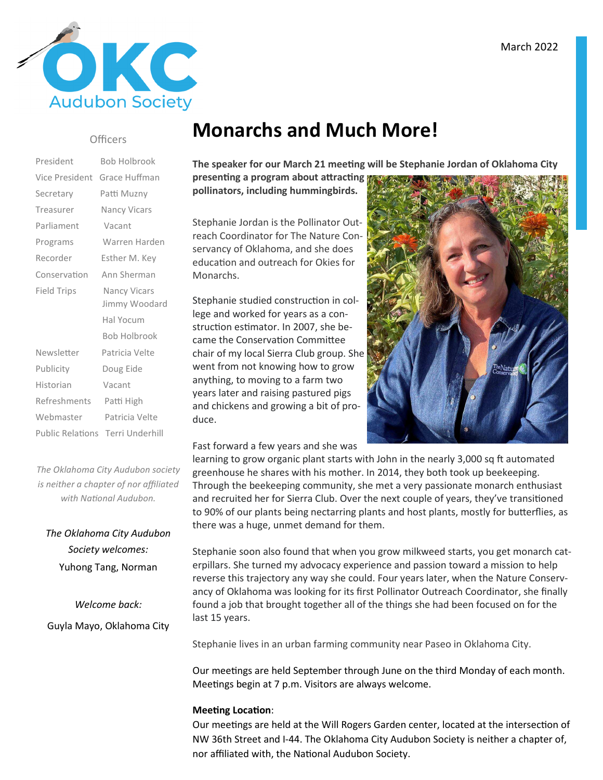

#### **Officers**

| President          | <b>Bob Holbrook</b>                     |
|--------------------|-----------------------------------------|
| Vice President     | Grace Huffman                           |
| Secretary          | Patti Muzny                             |
| Treasurer          | <b>Nancy Vicars</b>                     |
| Parliament         | Vacant                                  |
| Programs           | Warren Harden                           |
| Recorder           | Esther M. Key                           |
| Conservation       | Ann Sherman                             |
| <b>Field Trips</b> | <b>Nancy Vicars</b>                     |
|                    | Jimmy Woodard                           |
|                    | Hal Yocum                               |
|                    | <b>Bob Holbrook</b>                     |
| Newsletter         | Patricia Velte                          |
| Publicity          | Doug Eide                               |
| Historian          | Vacant                                  |
| Refreshments       | Patti High                              |
| Webmaster          | Patricia Velte                          |
|                    | <b>Public Relations Terri Underhill</b> |
|                    |                                         |

*The Oklahoma City Audubon society is neither a chapter of nor affiliated*  with National Audubon.

*The Oklahoma City Audubon Society welcomes:*  Yuhong Tang, Norman

*Welcome back:* Guyla Mayo, Oklahoma City

## **Monarchs and Much More!**

The speaker for our March 21 meeting will be Stephanie Jordan of Oklahoma City

**presenting a program about attracting pollinators, including hummingbirds.**

Stephanie Jordan is the Pollinator Outreach Coordinator for The Nature Conservancy of Oklahoma, and she does education and outreach for Okies for Monarchs.

Stephanie studied construction in college and worked for years as a construction estimator. In 2007, she became the Conservation Committee chair of my local Sierra Club group. She went from not knowing how to grow anything, to moving to a farm two years later and raising pastured pigs and chickens and growing a bit of produce.

Fast forward a few years and she was



learning to grow organic plant starts with John in the nearly 3,000 sq ft automated greenhouse he shares with his mother. In 2014, they both took up beekeeping. Through the beekeeping community, she met a very passionate monarch enthusiast and recruited her for Sierra Club. Over the next couple of years, they've transitioned to 90% of our plants being nectarring plants and host plants, mostly for butterflies, as there was a huge, unmet demand for them.

Stephanie soon also found that when you grow milkweed starts, you get monarch caterpillars. She turned my advocacy experience and passion toward a mission to help reverse this trajectory any way she could. Four years later, when the Nature Conservancy of Oklahoma was looking for its first Pollinator Outreach Coordinator, she finally found a job that brought together all of the things she had been focused on for the last 15 years.

Stephanie lives in an urban farming community near Paseo in Oklahoma City.

Our meetings are held September through June on the third Monday of each month. Meetings begin at 7 p.m. Visitors are always welcome.

#### **Meeting Location:**

Our meetings are held at the Will Rogers Garden center, located at the intersection of NW 36th Street and I-44. The Oklahoma City Audubon Society is neither a chapter of, nor affiliated with, the National Audubon Society.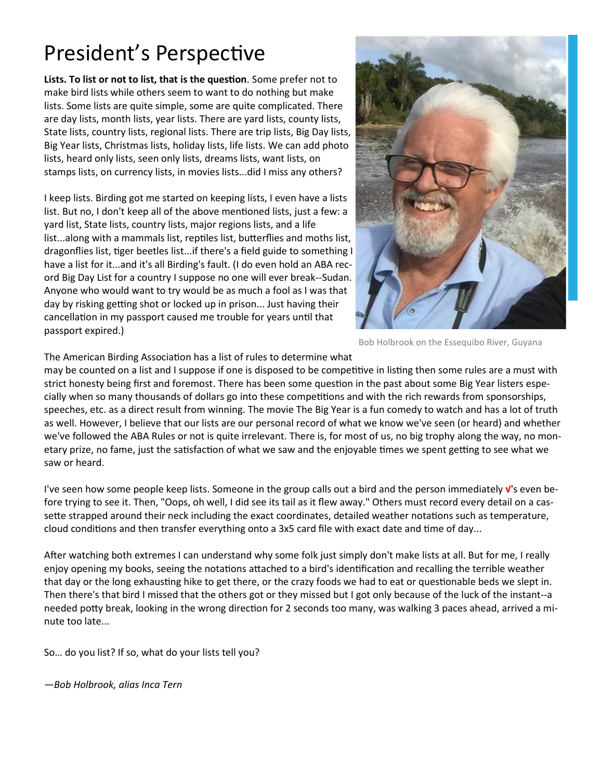## President's Perspective

Lists. To list or not to list, that is the question. Some prefer not to make bird lists while others seem to want to do nothing but make lists. Some lists are quite simple, some are quite complicated. There are day lists, month lists, year lists. There are yard lists, county lists, State lists, country lists, regional lists. There are trip lists, Big Day lists, Big Year lists, Christmas lists, holiday lists, life lists. We can add photo lists, heard only lists, seen only lists, dreams lists, want lists, on stamps lists, on currency lists, in movies lists...did I miss any others?

I keep lists. Birding got me started on keeping lists, I even have a lists list. But no, I don't keep all of the above mentioned lists, just a few: a yard list, State lists, country lists, major regions lists, and a life list...along with a mammals list, reptiles list, butterflies and moths list, dragonflies list, tiger beetles list...if there's a field guide to something I have a list for it...and it's all Birding's fault. (I do even hold an ABA record Big Day List for a country I suppose no one will ever break--Sudan. Anyone who would want to try would be as much a fool as I was that day by risking getting shot or locked up in prison... Just having their cancellation in my passport caused me trouble for years until that passport expired.)



Bob Holbrook on the Essequibo River, Guyana

The American Birding Association has a list of rules to determine what

may be counted on a list and I suppose if one is disposed to be competitive in listing then some rules are a must with strict honesty being first and foremost. There has been some question in the past about some Big Year listers especially when so many thousands of dollars go into these competitions and with the rich rewards from sponsorships, speeches, etc. as a direct result from winning. The movie The Big Year is a fun comedy to watch and has a lot of truth as well. However, I believe that our lists are our personal record of what we know we've seen (or heard) and whether we've followed the ABA Rules or not is quite irrelevant. There is, for most of us, no big trophy along the way, no monetary prize, no fame, just the satisfaction of what we saw and the enjoyable times we spent getting to see what we saw or heard.

I've seen how some people keep lists. Someone in the group calls out a bird and the person immediately **√**'s even before trying to see it. Then, "Oops, oh well, I did see its tail as it flew away." Others must record every detail on a cassette strapped around their neck including the exact coordinates, detailed weather notations such as temperature, cloud conditions and then transfer everything onto a 3x5 card file with exact date and time of day...

After watching both extremes I can understand why some folk just simply don't make lists at all. But for me, I really enjoy opening my books, seeing the notations attached to a bird's identification and recalling the terrible weather that day or the long exhausting hike to get there, or the crazy foods we had to eat or questionable beds we slept in. Then there's that bird I missed that the others got or they missed but I got only because of the luck of the instant--a needed potty break, looking in the wrong direction for 2 seconds too many, was walking 3 paces ahead, arrived a minute too late...

So… do you list? If so, what do your lists tell you?

*—Bob Holbrook, alias Inca Tern*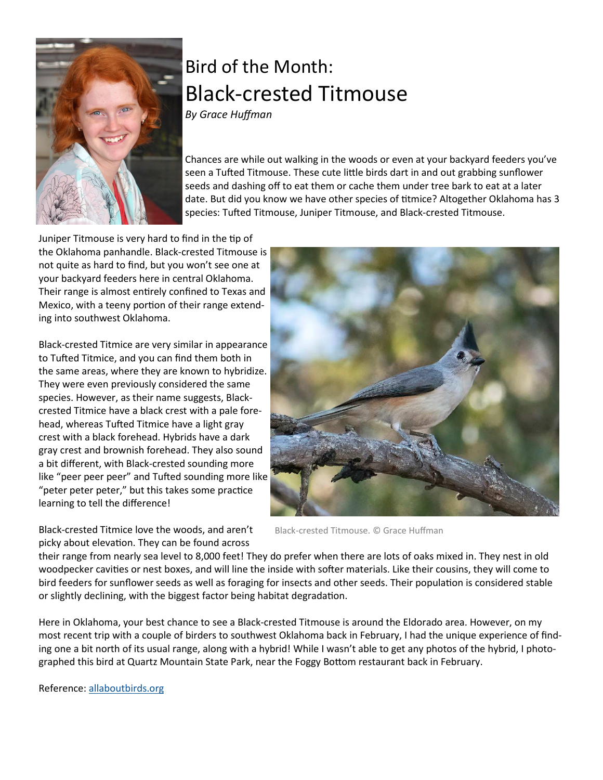

# Bird of the Month: Black-crested Titmouse

*By Grace Huffman* 

Chances are while out walking in the woods or even at your backyard feeders you've seen a Tufted Titmouse. These cute little birds dart in and out grabbing sunflower seeds and dashing off to eat them or cache them under tree bark to eat at a later date. But did you know we have other species of titmice? Altogether Oklahoma has 3 species: Tufted Titmouse, Juniper Titmouse, and Black-crested Titmouse.

Juniper Titmouse is very hard to find in the tip of the Oklahoma panhandle. Black-crested Titmouse is not quite as hard to find, but you won't see one at your backyard feeders here in central Oklahoma. Their range is almost entirely confined to Texas and Mexico, with a teeny portion of their range extending into southwest Oklahoma.

Black-crested Titmice are very similar in appearance to Tufted Titmice, and you can find them both in the same areas, where they are known to hybridize. They were even previously considered the same species. However, as their name suggests, Blackcrested Titmice have a black crest with a pale forehead, whereas Tufted Titmice have a light gray crest with a black forehead. Hybrids have a dark gray crest and brownish forehead. They also sound a bit different, with Black-crested sounding more like "peer peer peer" and Tufted sounding more like "peter peter peter," but this takes some practice learning to tell the difference!

Black-crested Titmice love the woods, and aren't picky about elevation. They can be found across



Black-crested Titmouse. © Grace Huffman

their range from nearly sea level to 8,000 feet! They do prefer when there are lots of oaks mixed in. They nest in old woodpecker cavities or nest boxes, and will line the inside with softer materials. Like their cousins, they will come to bird feeders for sunflower seeds as well as foraging for insects and other seeds. Their population is considered stable or slightly declining, with the biggest factor being habitat degradation.

Here in Oklahoma, your best chance to see a Black-crested Titmouse is around the Eldorado area. However, on my most recent trip with a couple of birders to southwest Oklahoma back in February, I had the unique experience of finding one a bit north of its usual range, along with a hybrid! While I wasn't able to get any photos of the hybrid, I photographed this bird at Quartz Mountain State Park, near the Foggy Bottom restaurant back in February.

Reference: allaboutbirds.org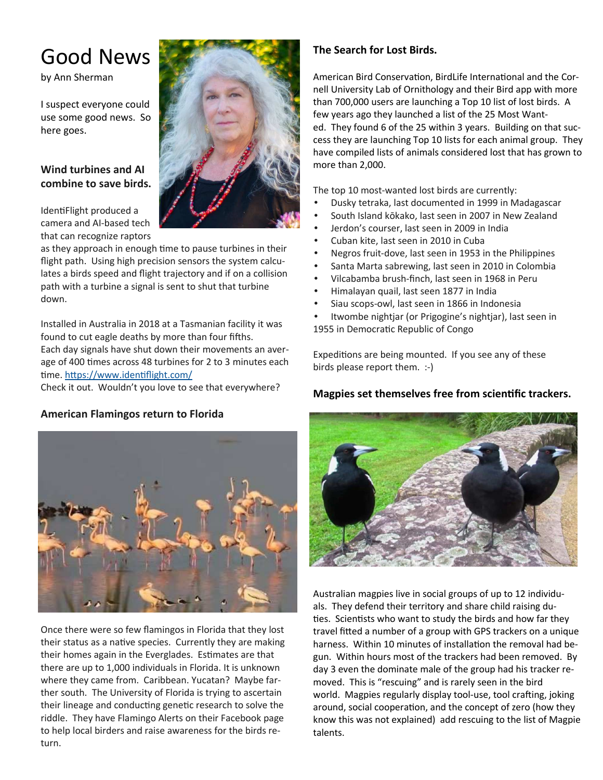## Good News

by Ann Sherman

I suspect everyone could use some good news. So here goes.

#### **Wind turbines and AI combine to save birds.**

IdentiFlight produced a camera and AI-based tech that can recognize raptors

as they approach in enough time to pause turbines in their flight path. Using high precision sensors the system calculates a birds speed and flight trajectory and if on a collision path with a turbine a signal is sent to shut that turbine down.

Installed in Australia in 2018 at a Tasmanian facility it was found to cut eagle deaths by more than four fifths. Each day signals have shut down their movements an average of 400 times across 48 turbines for 2 to 3 minutes each time. https://www.identiflight.com/

Check it out. Wouldn't you love to see that everywhere?

#### **American Flamingos return to Florida**



Once there were so few flamingos in Florida that they lost their status as a native species. Currently they are making their homes again in the Everglades. Estimates are that there are up to 1,000 individuals in Florida. It is unknown where they came from. Caribbean. Yucatan? Maybe farther south. The University of Florida is trying to ascertain their lineage and conducting genetic research to solve the riddle. They have Flamingo Alerts on their Facebook page to help local birders and raise awareness for the birds return.

#### **The Search for Lost Birds.**

American Bird Conservation, BirdLife International and the Cornell University Lab of Ornithology and their Bird app with more than 700,000 users are launching a Top 10 list of lost birds. A few years ago they launched a list of the 25 Most Wanted. They found 6 of the 25 within 3 years. Building on that success they are launching Top 10 lists for each animal group. They have compiled lists of animals considered lost that has grown to more than 2,000.

The top 10 most-wanted lost birds are currently:

- Dusky tetraka, last documented in 1999 in Madagascar
- South Island kōkako, last seen in 2007 in New Zealand
- Jerdon's courser, last seen in 2009 in India
- Cuban kite, last seen in 2010 in Cuba
- Negros fruit-dove, last seen in 1953 in the Philippines
- Santa Marta sabrewing, last seen in 2010 in Colombia
- Vilcabamba brush-finch, last seen in 1968 in Peru
- Himalayan quail, last seen 1877 in India
- Siau scops-owl, last seen in 1866 in Indonesia
- Itwombe nightjar (or Prigogine's nightjar), last seen in
- 1955 in Democratic Republic of Congo

Expeditions are being mounted. If you see any of these birds please report them. :-)

#### **Magpies set themselves free from scienfic trackers.**



Australian magpies live in social groups of up to 12 individuals. They defend their territory and share child raising du ties. Scientists who want to study the birds and how far they travel fitted a number of a group with GPS trackers on a unique harness. Within 10 minutes of installation the removal had begun. Within hours most of the trackers had been removed. By day 3 even the dominate male of the group had his tracker removed. This is "rescuing" and is rarely seen in the bird world. Magpies regularly display tool-use, tool crafting, joking around, social cooperation, and the concept of zero (how they know this was not explained) add rescuing to the list of Magpie talents.

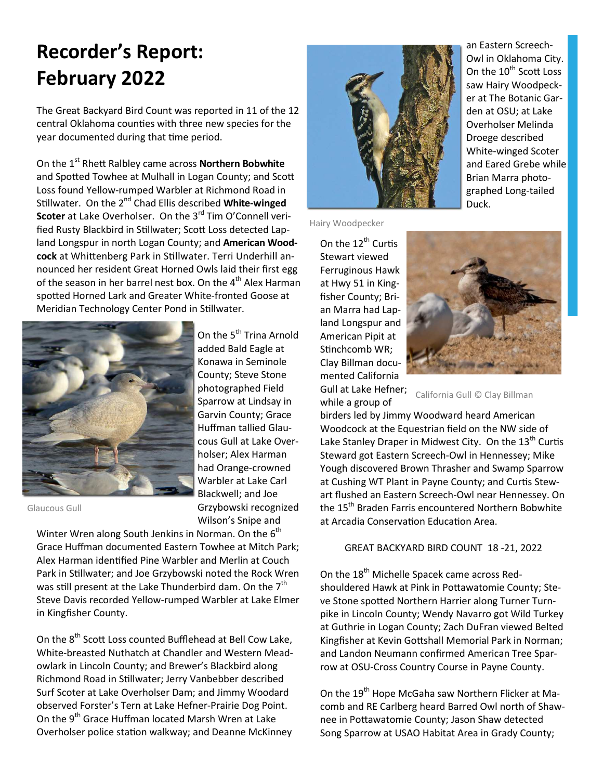## **Recorder's Report: February 2022**

The Great Backyard Bird Count was reported in 11 of the 12 central Oklahoma counties with three new species for the year documented during that time period.

On the 1<sup>st</sup> Rhett Ralbley came across **Northern Bobwhite** and Spotted Towhee at Mulhall in Logan County; and Scott Loss found Yellow-rumped Warbler at Richmond Road in Stillwater. On the 2<sup>nd</sup> Chad Ellis described White-winged **Scoter** at Lake Overholser. On the 3<sup>rd</sup> Tim O'Connell verified Rusty Blackbird in Stillwater; Scott Loss detected Lapland Longspur in north Logan County; and **American Woodcock** at Whittenberg Park in Stillwater. Terri Underhill announced her resident Great Horned Owls laid their first egg of the season in her barrel nest box. On the 4<sup>th</sup> Alex Harman spotted Horned Lark and Greater White-fronted Goose at Meridian Technology Center Pond in Stillwater.



On the 5<sup>th</sup> Trina Arnold added Bald Eagle at Konawa in Seminole County; Steve Stone photographed Field Sparrow at Lindsay in Garvin County; Grace Huffman tallied Glaucous Gull at Lake Overholser; Alex Harman had Orange-crowned Warbler at Lake Carl Blackwell; and Joe Grzybowski recognized Wilson's Snipe and

Glaucous Gull

Winter Wren along South Jenkins in Norman. On the 6<sup>th</sup> Grace Huffman documented Eastern Towhee at Mitch Park; Alex Harman identified Pine Warbler and Merlin at Couch Park in Stillwater; and Joe Grzybowski noted the Rock Wren was still present at the Lake Thunderbird dam. On the  $7<sup>th</sup>$ Steve Davis recorded Yellow-rumped Warbler at Lake Elmer in Kingfisher County.

On the 8<sup>th</sup> Scott Loss counted Bufflehead at Bell Cow Lake, White-breasted Nuthatch at Chandler and Western Meadowlark in Lincoln County; and Brewer's Blackbird along Richmond Road in Stillwater; Jerry Vanbebber described Surf Scoter at Lake Overholser Dam; and Jimmy Woodard observed Forster's Tern at Lake Hefner-Prairie Dog Point. On the 9<sup>th</sup> Grace Huffman located Marsh Wren at Lake Overholser police station walkway; and Deanne McKinney



Hairy Woodpecker

On the  $12^{th}$  Curtis Stewart viewed Ferruginous Hawk at Hwy 51 in Kingfisher County; Brian Marra had Lapland Longspur and American Pipit at Stinchcomb WR; Clay Billman documented California Gull at Lake Hefner;

while a group of



California Gull © Clay Billman

birders led by Jimmy Woodward heard American Woodcock at the Equestrian field on the NW side of Lake Stanley Draper in Midwest City. On the  $13<sup>th</sup>$  Curtis Steward got Eastern Screech-Owl in Hennessey; Mike Yough discovered Brown Thrasher and Swamp Sparrow at Cushing WT Plant in Payne County; and Curtis Stewart flushed an Eastern Screech-Owl near Hennessey. On the 15<sup>th</sup> Braden Farris encountered Northern Bobwhite at Arcadia Conservation Education Area.

#### GREAT BACKYARD BIRD COUNT 18 -21, 2022

On the 18<sup>th</sup> Michelle Spacek came across Redshouldered Hawk at Pink in Pottawatomie County; Steve Stone spotted Northern Harrier along Turner Turnpike in Lincoln County; Wendy Navarro got Wild Turkey at Guthrie in Logan County; Zach DuFran viewed Belted Kingfisher at Kevin Gottshall Memorial Park in Norman; and Landon Neumann confirmed American Tree Sparrow at OSU-Cross Country Course in Payne County.

On the 19<sup>th</sup> Hope McGaha saw Northern Flicker at Macomb and RE Carlberg heard Barred Owl north of Shawnee in Pottawatomie County; Jason Shaw detected Song Sparrow at USAO Habitat Area in Grady County;

an Eastern Screech-Owl in Oklahoma City. On the 10<sup>th</sup> Scott Loss saw Hairy Woodpecker at The Botanic Garden at OSU; at Lake Overholser Melinda Droege described White-winged Scoter and Eared Grebe while Brian Marra photographed Long-tailed Duck.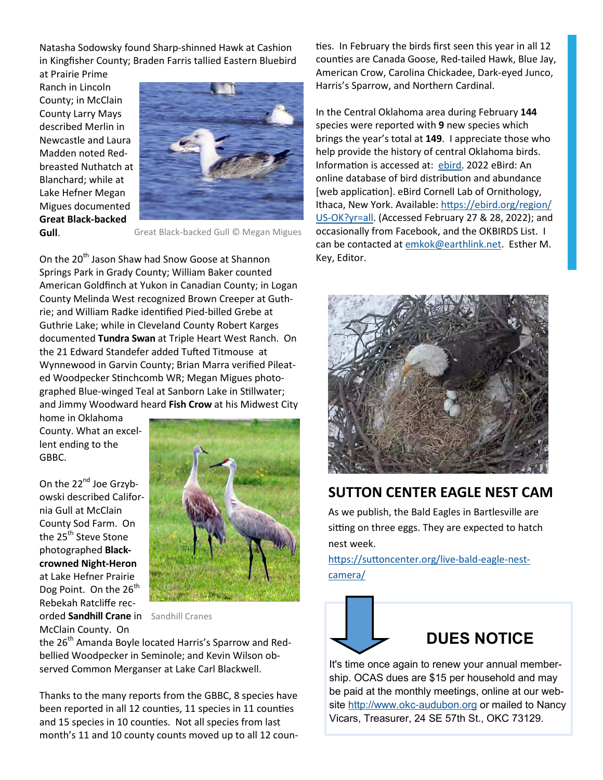Natasha Sodowsky found Sharp-shinned Hawk at Cashion in Kingfisher County; Braden Farris tallied Eastern Bluebird

at Prairie Prime Ranch in Lincoln County; in McClain County Larry Mays described Merlin in Newcastle and Laura Madden noted Redbreasted Nuthatch at Blanchard; while at Lake Hefner Megan Migues documented **Great Black-backed Gull**.



Great Black-backed Gull © Megan Migues

On the 20<sup>th</sup> Jason Shaw had Snow Goose at Shannon Springs Park in Grady County; William Baker counted American Goldfinch at Yukon in Canadian County; in Logan County Melinda West recognized Brown Creeper at Guthrie; and William Radke identified Pied-billed Grebe at Guthrie Lake; while in Cleveland County Robert Karges documented **Tundra Swan** at Triple Heart West Ranch. On the 21 Edward Standefer added Tufted Titmouse at Wynnewood in Garvin County; Brian Marra verified Pileated Woodpecker Stinchcomb WR; Megan Migues photographed Blue-winged Teal at Sanborn Lake in Stillwater; and Jimmy Woodward heard **Fish Crow** at his Midwest City

home in Oklahoma County. What an excellent ending to the GBBC.

On the 22<sup>nd</sup> Joe Grzybowski described California Gull at McClain County Sod Farm. On the 25<sup>th</sup> Steve Stone photographed **Blackcrowned Night-Heron** at Lake Hefner Prairie Dog Point. On the  $26<sup>th</sup>$ Rebekah Ratcliffe recorded **Sandhill Crane** in Sandhill Cranes McClain County. On



the 26<sup>th</sup> Amanda Boyle located Harris's Sparrow and Redbellied Woodpecker in Seminole; and Kevin Wilson observed Common Merganser at Lake Carl Blackwell.

Thanks to the many reports from the GBBC, 8 species have been reported in all 12 counties, 11 species in 11 counties and 15 species in 10 counties. Not all species from last month's 11 and 10 county counts moved up to all 12 counties. In February the birds first seen this year in all 12 counties are Canada Goose, Red-tailed Hawk, Blue Jay, American Crow, Carolina Chickadee, Dark-eyed Junco, Harris's Sparrow, and Northern Cardinal.

In the Central Oklahoma area during February **144** species were reported with **9** new species which brings the year's total at **149**. I appreciate those who help provide the history of central Oklahoma birds. Information is accessed at: ebird. 2022 eBird: An online database of bird distribution and abundance [web application]. eBird Cornell Lab of Ornithology, Ithaca, New York. Available: https://ebird.org/region/ US-OK?yr=all. (Accessed February 27 & 28, 2022); and occasionally from Facebook, and the OKBIRDS List. I can be contacted at emkok@earthlink.net. Esther M. Key, Editor.



#### **SUTTON CENTER EAGLE NEST CAM**

As we publish, the Bald Eagles in Bartlesville are sitting on three eggs. They are expected to hatch nest week.

https://suttoncenter.org/live-bald-eagle-nestcamera/



It's time once again to renew your annual membership. OCAS dues are \$15 per household and may be paid at the monthly meetings, online at our website http://www.okc-audubon.org or mailed to Nancy Vicars, Treasurer, 24 SE 57th St., OKC 73129.